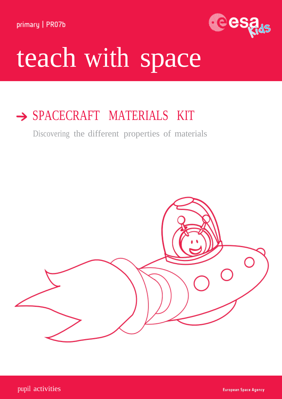primary | PR07b



# teach with space

## SPACECRAFT MATERIALS KIT

Discovering the different properties of materials

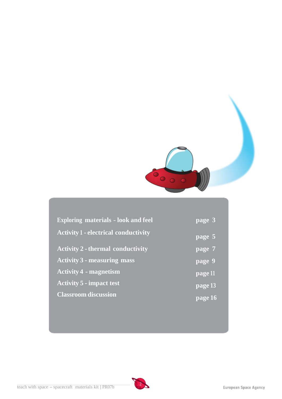

| <b>Exploring materials - look and feel</b>  | $\sqrt{page}$ 3      |
|---------------------------------------------|----------------------|
| <b>Activity 1 - electrical conductivity</b> | page 5               |
| <b>Activity 2 - thermal conductivity</b>    | $\sqrt{p}$ page 7    |
| <b>Activity 3 - measuring mass</b>          | page 9               |
| <b>Activity 4 - magnetism</b>               | page 11              |
| <b>Activity 5 - impact test</b>             | page 13              |
| <b>Classroom discussion</b>                 | $\overline{$ page 16 |

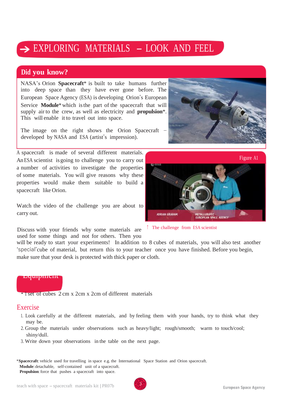## $\rightarrow$  EXPLORING MATERIALS  $-$  LOOK AND FEEL

#### **Did you know?**

NASA's Orion **Spacecraft**\* is built to take humans further into deep space than they have ever gone before. The European Space Agency (ESA) is developing Orion's European Service **Module**\*which isthe part of the spacecraft that will supply air to the crew, as well as electricity and **propulsion**\*. This will enable it to travel out into space.

The image on the right shows the Orion Spacecraft developed by NASA and ESA (artist's impression).

A spacecraft is made of several different materials. AnESA scientist isgoing to challenge you to carry out a number of activities to investigate the properties of some materials. You will give reasons why these properties would make them suitable to build a spacecraft like Orion.

Watch the video of the challenge you are about to carry out.

Discuss with your friends why some materials are <sup>↑</sup> The challenge from ESA scientist used for some things and not for others. Then you



will be ready to start your experiments! In addition to 8 cubes of materials, you will also test another 'special'cube of material, but return this to your teacher once you have finished. Before you begin, make sure that your desk is protected with thick paper or cloth.

#### Equipment

• 1 set of cubes 2 cm x 2 cm x 2 cm of different materials

#### Exercise

- 1. Look carefully at the different materials, and by feeling them with your hands, try to think what they may be.
- 2. Group the materials under observations such as heavy/light; rough/smooth; warm to touch/cool; shiny/dull.
- 3. Write down your observations in the table on the next page.

**\* Spacecraft**: vehicle used for travelling in space e.g. the International Space Station and Orion spacecraft. **Module**: detachable, self-contained unit of a spacecraft. Propulsion: force that pushes a spacecraft into space.

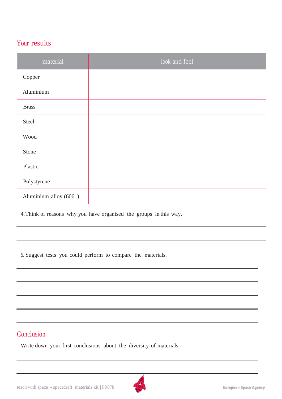#### Your results

| material               | look and feel |
|------------------------|---------------|
| Copper                 |               |
| Aluminium              |               |
| <b>Brass</b>           |               |
| Steel                  |               |
| Wood                   |               |
| Stone                  |               |
| Plastic                |               |
| Polystyrene            |               |
| Aluminium alloy (6061) |               |

4.Think of reasons why you have organised the groups in this way.

5. Suggest tests you could perform to compare the materials.

#### **Conclusion**

Write down your first conclusions about the diversity of materials.

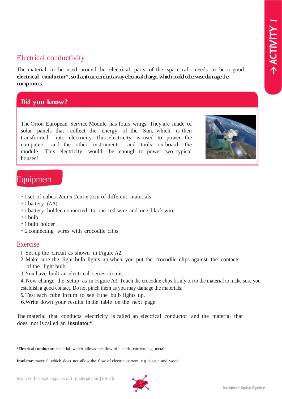## Electrical conductivity

The material to be used around the electrical parts of the spacecraft needs to be a good **electrical conductor**\*,so that it can conduct away electrical charge, which could otherwise damage the components.

#### **Did you know?**

The Orion European Service Module has fours wings. They are made of solar panels that collect the energy of the Sun, which is then transformed into electricity. This electricity is used to power the computers and the other instruments and tools on-board the module. This electricity would be enough to power two typical houses!



## Equipment

- 1 set of cubes 2cm x 2cm x 2cm of different materials
- 1 battery (AA)
- 1 battery holder connected to one red wire and one black wire
- 1 bulb
- 1 bulb holder
- 2 connecting wires with crocodile clips

#### Exercise

- 1. Set up the circuit as shown in Figure A2.
- 2. Make sure the light bulb lights up when you put the crocodile clips against the contacts of the light bulb.
- 3. You have built an electrical series circuit.

4.Now change the setup as in Figure A3. Touch the crocodile clips firmly on to the material to make sure you establish a good contact. Do not pinch them as you may damage the materials.

- 5. Test each cube in turn to see ifthe bulb lights up.
- 6.Write down your results in the table on the next page.

The material that conducts electricity is called an electrical conductor and the material that does not is called an **insulator\***.

**\*Electrical conductor**: material which allows the flow of electric current e.g. metal.

**Insulator**: material which does not allow the flow of electric current e.g. plastic and wood.

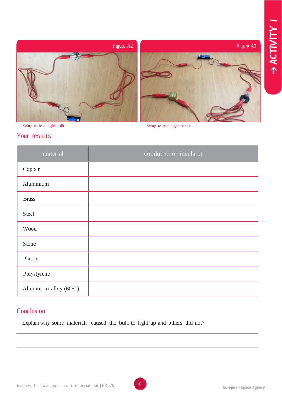



↑ Setup to test light bulb

↑ Setup to test light cubes

#### Your results

| material               | conductor or insulator |
|------------------------|------------------------|
| Copper                 |                        |
| Aluminium              |                        |
| <b>Brass</b>           |                        |
| Steel                  |                        |
| Wood                   |                        |
| Stone                  |                        |
| Plastic                |                        |
| Polystyrene            |                        |
| Aluminium alloy (6061) |                        |

#### **Conclusion**

Explain why some materials caused the bulb to light up and others did not?

6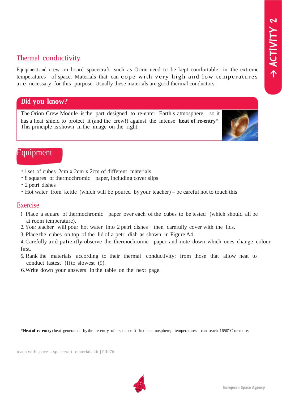#### Thermal conductivity

Equipment and crew on board spacecraft such as Orion need to be kept comfortable in the extreme temperatures of space. Materials that can cope with very high and low temperatures are necessary for this purpose. Usually these materials are good thermal conductors.

#### **Did you know?**

The Orion Crew Module isthe part designed to re-enter Earth's atmosphere, so it has a heat shield to protect it (and the crew!) against the intense **heat of re-entry**\*. This principle isshown in the image on the right.



- 1 set of cubes 2cm x 2cm x 2cm of different materials
- 8 squares of thermochromic paper, including cover slips
- 2 petri dishes
- Hot water from kettle (which will be poured byyour teacher) be careful not to touch this

#### Exercise

- 1. Place a square of thermochromic paper over each of the cubes to be tested (which should all be at room temperature).
- 2. Your teacher will pour hot water into 2 petri dishes –then carefully cover with the lids.
- 3. Place the cubes on top of the lid of a petri dish as shown in Figure A4.

4.Carefully and patiently observe the thermochromic paper and note down which ones change colour first.

- 5. Rank the materials according to their thermal conductivity: from those that allow heat to conduct fastest (1) to slowest (9).
- 6.Write down your answers in the table on the next page.

**\*Heat of re-entry:** heat generated bythe re-entry of a spacecraft in the atmosphere; temperatures can reach 1650°C or more.

teach with space - spacecraft materials kit | PR07b

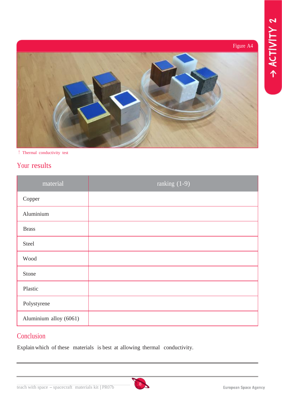## Figure A4



↑ Thermal conductivity test

## Your results

| material               | ranking (1-9) |
|------------------------|---------------|
| Copper                 |               |
| Aluminium              |               |
| <b>Brass</b>           |               |
| Steel                  |               |
| Wood                   |               |
| Stone                  |               |
| Plastic                |               |
| Polystyrene            |               |
| Aluminium alloy (6061) |               |

## **Conclusion**

Explain which of these materials is best at allowing thermal conductivity.

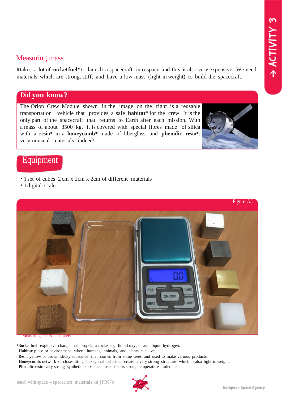#### Measuring mass

Ittakes a lot of **rocketfuel\*** to launch a spacecraft into space and this is also very expensive. We need materials which are strong, stiff, and have a low mass (light in weight) to build the spacecraft.

#### **Did you know?**

The Orion Crew Module shown in the image on the right is a reusable transportation vehicle that provides a safe **habitat\*** for the crew. It isthe only part of the spacecraft that returns to Earth after each mission. With a mass of about 8500 kg, it is covered with special fibres made of silica with a **resin\*** in a **honeycomb\*** made of fiberglass and **phenolic resin\***: very unusual materials indeed!



#### Equipment

- 1 set of cubes 2 cm x 2cm x 2cm of different materials
- 1 digital scale



mass accurately

**\*Rocket fuel**: explosive charge that propels a rocket e.g. liquid oxygen and liquid hydrogen. **Habitat:** place or environment where humans, animals, and plants can live. **Resin**: yellow or brown sticky substance that comes from some trees and used to make various products. **Honeycomb**: network of close-fitting hexagonal cells that create a very strong structure which is also light in weight. **Phenolic resin**: very strong synthetic substance used for its strong temperature tolerance.

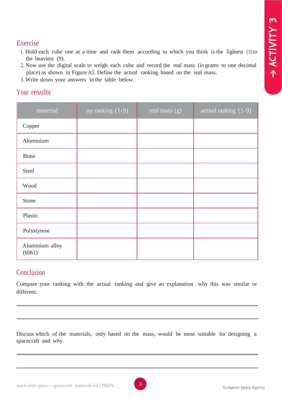#### Exercise

- 1. Hold each cube one at a time and rank them according to which you think is the lightest (1) to the heaviest (9).
- 2. Now use the digital scale to weigh each cube and record the real mass (in grams to one decimal place) as shown in Figure A5. Define the actual ranking based on the real mass.
- 3. Write down your answers in the table below.

#### Your results

| material                  | my ranking $(1-9)$ | real mass (g) | actual ranking (1-9) |
|---------------------------|--------------------|---------------|----------------------|
| Copper                    |                    |               |                      |
| Aluminium                 |                    |               |                      |
| <b>Brass</b>              |                    |               |                      |
| Steel                     |                    |               |                      |
| Wood                      |                    |               |                      |
| Stone                     |                    |               |                      |
| Plastic                   |                    |               |                      |
| Polystyrene               |                    |               |                      |
| Aluminium alloy<br>(6061) |                    |               |                      |

#### **Conclusion**

Compare your ranking with the actual ranking and give an explanation why this was similar or different.

Discuss which of the materials, only based on the mass, would be most suitable for designing a spacecraft and why.

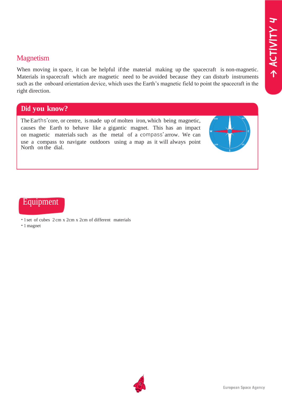#### Magnetism

When moving in space, it can be helpful ifthe material making up the spacecraft is non-magnetic. Materials in spacecraft which are magnetic need to be avoided because they can disturb instruments such as the onboard orientation device, which uses the Earth's magnetic field to point the spacecraft in the right direction.

#### **Did you know?**

TheEarths'core, or centre, ismade up of molten iron,which being magnetic, causes the Earth to behave like a gigantic magnet. This has an impact on magnetic materials such as the metal of a compass' arrow. We can use a compass to navigate outdoors using a map as it will always point North on the dial.



## Equipment

- 1 set of cubes 2 cm x 2cm x 2cm of different materials
- 1 magnet

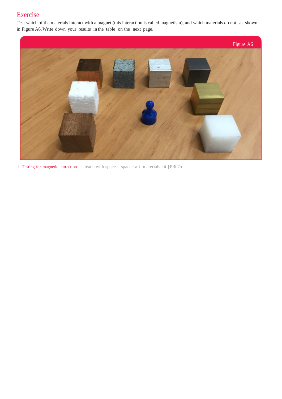## Exercise

Test which of the materials interact with a magnet (this interaction is called magnetism), and which materials do not, as shown in Figure A6.Write down your results in the table on the next page.



↑ Testing for magnetic attraction teach with space - spacecraft materials kit | PR07b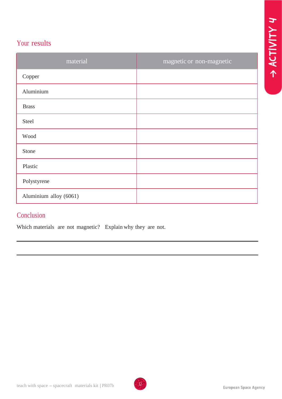## Your results

| material               | magnetic or non-magnetic |
|------------------------|--------------------------|
| Copper                 |                          |
| Aluminium              |                          |
| <b>Brass</b>           |                          |
| Steel                  |                          |
| Wood                   |                          |
| Stone                  |                          |
| Plastic                |                          |
| Polystyrene            |                          |
| Aluminium alloy (6061) |                          |

#### Conclusion

Which materials are not magnetic? Explain why they are not.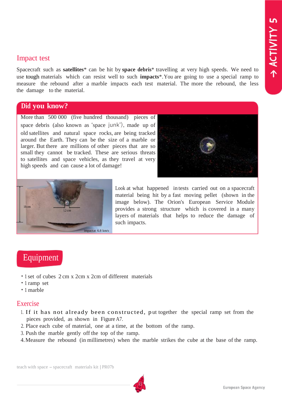#### Impact test

Spacecraft such as **satellites**\* can be hit by **space debris**\* travelling at very high speeds. We need to use tough materials which can resist well to such **impacts**\*.You are going to use a special ramp to measure the rebound after a marble impacts each test material. The more the rebound, the less the damage to the material.

#### **Did you know?**

More than 500 000 (five hundred thousand) pieces of space debris (also known as 'space junk'), made up of old satellites and natural space rocks, are being tracked around the Earth. They can be the size of a marble or larger. But there are millions of other pieces that are so small they cannot be tracked. These are serious threats to satellites and space vehicles, as they travel at very high speeds and can cause a lot of damage!





Look at what happened in tests carried out on a spacecraft material being hit by a fast moving pellet (shown in the image below). The Orion's European Service Module provides a strong structure which is covered in a many layers of materials that helps to reduce the damage of such impacts.

## **Equipment**

- 1 set of cubes 2 cm x 2cm x 2cm of different materials
- 1 ramp set
- 1 marble

#### Exercise

- 1. If it has not already been constructed, p ut together the special ramp set from the pieces provided, as shown in Figure A7.
- 2. Place each cube of material, one at a time, at the bottom of the ramp.
- 3. Push the marble gently off the top of the ramp.
- 4.Measure the rebound (in millimetres) when the marble strikes the cube at the base of the ramp.

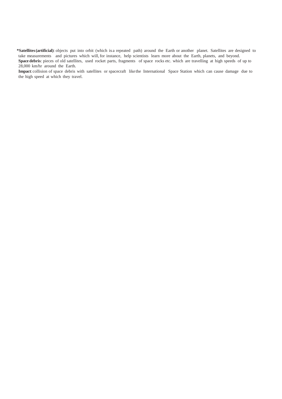**\*Satellites(artificial)**: objects put into orbit (which is a repeated path) around the Earth or another planet. Satellites are designed to take measurements and pictures which will, for instance, help scientists learn more about the Earth, planets, and beyond. **Space debris**: pieces of old satellites, used rocket parts, fragments of space rocks etc. which are travelling at high speeds of up to 28,000 km/hr around the Earth.

**Impact**:collision of space debris with satellites or spacecraft like the International Space Station which can cause damage due to the high speed at which they travel.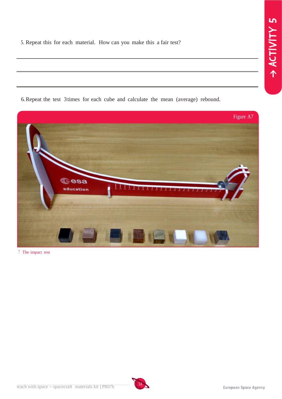5. Repeat this for each material. How can you make this a fair test?

| 6. Repeat the test 3 times for each cube and calculate the mean (average) rebound. |
|------------------------------------------------------------------------------------|



↑ The impact test

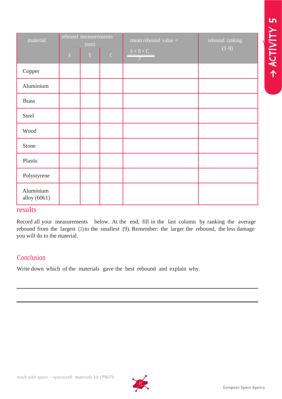ACTIVITY 5

| material                  | rebound measurements<br>(mm) |   |               | mean rebound value $=$        | rebound ranking |
|---------------------------|------------------------------|---|---------------|-------------------------------|-----------------|
|                           | $\Lambda$                    | B | $\mathcal{C}$ | $A + B + C$<br>$\overline{3}$ | $(1-9)$         |
| Copper                    |                              |   |               |                               |                 |
| Aluminium                 |                              |   |               |                               |                 |
| <b>Brass</b>              |                              |   |               |                               |                 |
| Steel                     |                              |   |               |                               |                 |
| Wood                      |                              |   |               |                               |                 |
| Stone                     |                              |   |               |                               |                 |
| Plastic                   |                              |   |               |                               |                 |
| Polystyrene               |                              |   |               |                               |                 |
| Aluminium<br>alloy (6061) |                              |   |               |                               |                 |

#### results

Record all your measurements below. At the end, fill in the last column by ranking the average rebound from the largest (1) to the smallest (9). Remember: the larger the rebound, the less damage you will do to the material.

#### Conclusion

Write down which of the materials gave the best rebound and explain why.

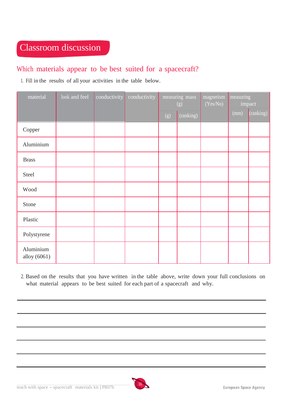## Classroom discussion

## Which materials appear to be best suited for a spacecraft?

1. Fill in the results of all your activities in the table below.

| material                  | $\sqrt{100k}$ and feel | conductivity | conductivity | measuring mass<br>(g) |           | magnetism<br>(Yes/No) | measuring<br>impact |           |
|---------------------------|------------------------|--------------|--------------|-----------------------|-----------|-----------------------|---------------------|-----------|
|                           |                        |              |              | (g)                   | (ranking) |                       | (mm)                | (ranking) |
| Copper                    |                        |              |              |                       |           |                       |                     |           |
| Aluminium                 |                        |              |              |                       |           |                       |                     |           |
| <b>Brass</b>              |                        |              |              |                       |           |                       |                     |           |
| Steel                     |                        |              |              |                       |           |                       |                     |           |
| Wood                      |                        |              |              |                       |           |                       |                     |           |
| Stone                     |                        |              |              |                       |           |                       |                     |           |
| Plastic                   |                        |              |              |                       |           |                       |                     |           |
| Polystyrene               |                        |              |              |                       |           |                       |                     |           |
| Aluminium<br>alloy (6061) |                        |              |              |                       |           |                       |                     |           |

2. Based on the results that you have written in the table above, write down your full conclusions on what material appears to be best suited for each part of a spacecraft and why.